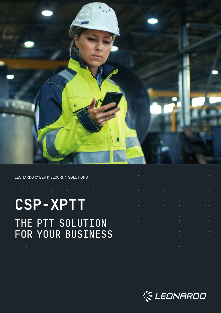

LEONARDO CYBER & SECURITY SOLUTIONS

# **CSP-XPTT** THE PTT SOLUTION FOR YOUR BUSINESS

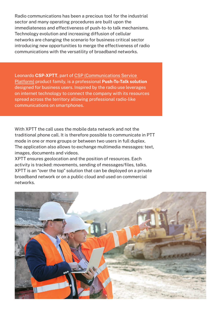Radio communications has been a precious tool for the industrial sector and many operating procedures are built upon the immediateness and effectiveness of push-to-to talk mechanisms. Technology evolution and increasing diffusion of cellular networks are changing the scenario for business critical sector introducing new opportunities to merge the effectiveness of radio communications with the versatility of broadband networks.

Leonardo **CSP-XPTT**, part of CSP (Communications Service Platform) product family, is a professional **Push-To-Talk solution** designed for business users. Inspired by the radio use leverages on internet technology to connect the company with its resources spread across the territory allowing professional radio-like communications on smartphones.

With XPTT the call uses the mobile data network and not the traditional phone call. It is therefore possible to communicate in PTT mode in one or more groups or between two users in full duplex. The application also allows to exchange multimedia messages: text, images, documents and videos.

XPTT ensures geolocation and the position of resources. Each activity is tracked: movements, sending of messages/files, talks. XPTT is an "over the top" solution that can be deployed on a private broadband network or on a public cloud and used on commercial networks.

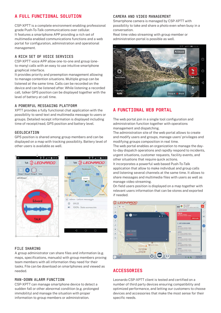# A FULL FUNCTIONAL SOLUTION

CSP-XPTT is a complete environment enabling professional grade Push-To-Talk communications over cellular. It features a smartphone APP providing a rich set of multimedia enabled communications functions and a web portal for configuration, administration and operational management.

## **A RICH SET OF VOICE SERVICES**

CSP-XPTT voice APP allow one-to-one and group (oneto-many) calls with an easy to use intuitive smartphone graphical interface.

It provides priority and preemption management allowing to manage contention situations. Multiple group can be listened at the same time. Calls can be recorded on the device and can be listened after. While listening a recorded call, talker GPS position can be displayed together with the level of battery at call time.

## **A POWERFUL MESSAGING PLATFORM**

XPTT provides a fully functional chat application with the possibility to send text and multimedia message to users or groups. Detailed receipt information is displayed including time of receipt/read, GPS position and battery level.

#### **GEOLOCATION**

GPS position is shared among group members and can be displayed on a map with tracking possibility. Battery level of other users is available as well.





## **FILE SHARING**

A group administrator can share files and information (e.g. maps, specifications, manuals) with group members proving team members with all information they need for their tasks. File can be download on smartphones and viewed as needed.

#### **MAN-DOWN ALARM FUNCTION**

CSP-XPTT can manage smartphone device to detect a sudden fall or other abnormal condition (e.g. prolonged immobility) and manage the situation with proper information to group members or administration.

## **CAMERA AND VIDEO MANAGEMENT**

Smartphone camera is managed by CSP-XPTT with possibility to take and share a photo even when busy in a conversation.

Real time video streaming with group member or administration portal is possible as well.



# A FUNCTIONAL WEB PORTAL

The web portal join in a single tool configuration and administration function together with operations management and dispatching.

The administration site of the web portal allows to create and modify users and groups, manage users' privileges and modifying groups composition in real time.

The web portal enables an organization to manage the dayto-day dispatch operations and rapidly respond to incidents, urgent situations, customer requests, facility events, and other situations that require quick actions.

It incorporates a powerful web based Push-To-Talk application that allow to make individual and group calls and listening several channels at the same time. It allows to share messages and multimedia files with users as well as manage video streaming.

On field users position is displayed on a map together with relevant users information that can be stores and exported if needed.



## **ACCESSORTES**

Leonardo CSP-XPTT client is tested and certified on a number of third party devices ensuring compatibility and optimized performance, and letting our customers to choose devices and accessories that make the most sense for their specific needs.